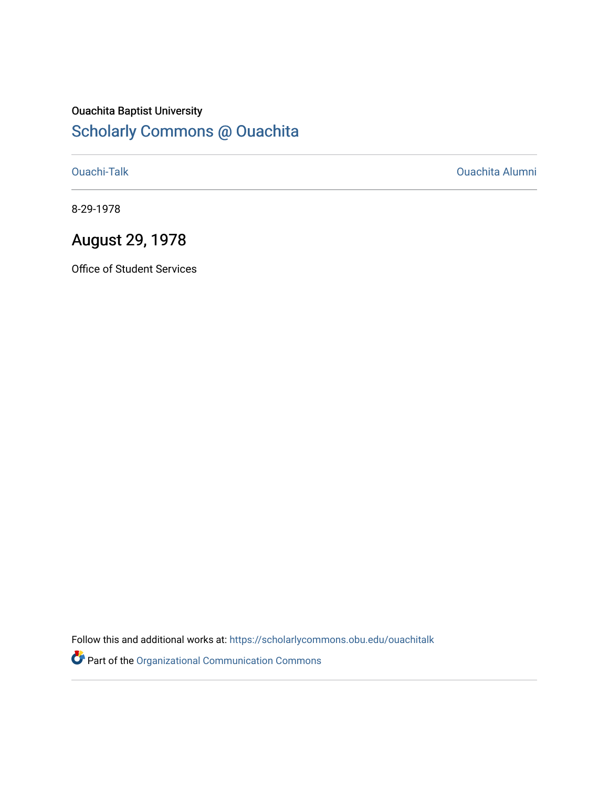### Ouachita Baptist University [Scholarly Commons @ Ouachita](https://scholarlycommons.obu.edu/)

[Ouachi-Talk](https://scholarlycommons.obu.edu/ouachitalk) [Ouachita Alumni](https://scholarlycommons.obu.edu/obu_alum) 

8-29-1978

## August 29, 1978

Office of Student Services

Follow this and additional works at: [https://scholarlycommons.obu.edu/ouachitalk](https://scholarlycommons.obu.edu/ouachitalk?utm_source=scholarlycommons.obu.edu%2Fouachitalk%2F141&utm_medium=PDF&utm_campaign=PDFCoverPages) 

Part of the [Organizational Communication Commons](http://network.bepress.com/hgg/discipline/335?utm_source=scholarlycommons.obu.edu%2Fouachitalk%2F141&utm_medium=PDF&utm_campaign=PDFCoverPages)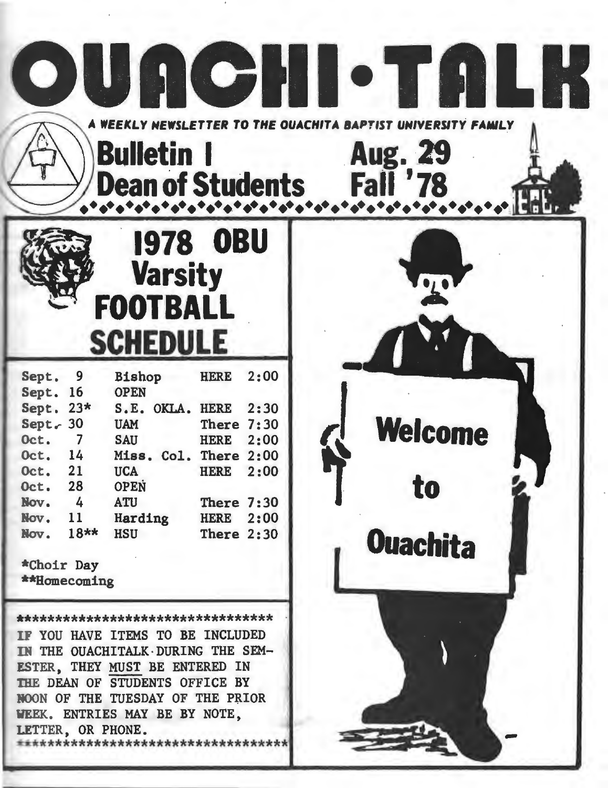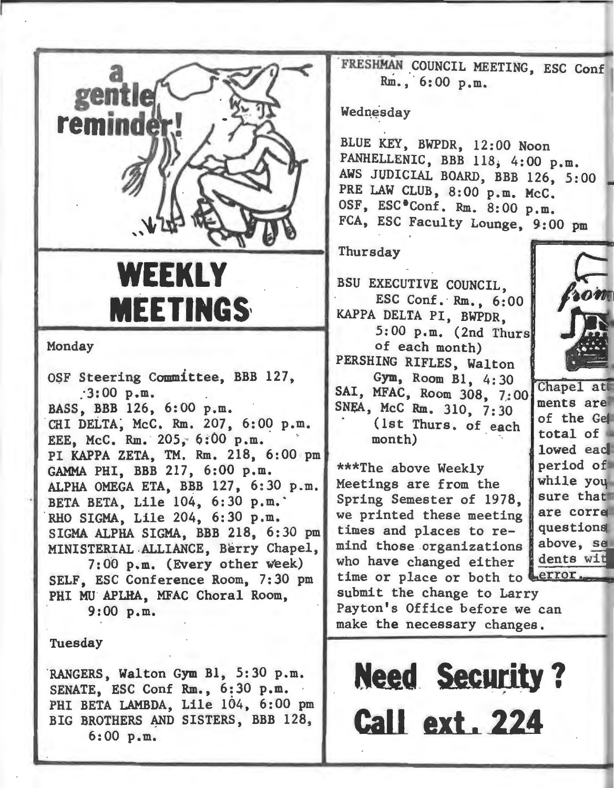

## **WEEKLY MEETINGS,**

#### Monday

OSF Steering Committee, BBB 127, *:3:00* p.m. BASS, BBB 126, 6:00 p.m. CHI DELTA, McC. Rm. 207, 6:00 p.m. EEE, McC. Rm. 205, 6:00 p.m. PI KAPPA ZETA, TM. Rm. 218, 6:00 pm GAMMA PHI, BBB 217, 6:00 p.m. ALPHA OMEGA ETA, BBB 127, 6:30 p.m. BETA BETA, Lile 104, 6:30 p.m.

RHO SIGMA, Lile 204, 6:30 p.m. SIGMA ALPHA SIGMA, BBB 218, 6:30 pm MINISTERIAL-ALLIANCE, Berry Chapel,

7:00 p.m. (Every other week) SELF, ESC Conference Room, 7:30 pm PHI MU APLHA, MFAC Choral Room, 9:00 p.m.

Tuesday

RANGERS, Walton Gym Bl, 5:30 p.m. SENATE, ESC Conf Rm., 6:30 p.m. PHI BETA LAMBDA, Lile 104, 6:00 pm BIG BROTHERS AND SISTERS, BBB 128, 6:00 p.m.

FRESHMAN COUNCIL MEETING, ESC Conf Rm., · 6:00 p.m.

#### Wednesday

BLUE KEY, BWPDR, 12:00 Noon PANHELLENIC, BBB 118, 4:00 p.m. AWS JUDICIAL BOARD, BBB 126, 5:00 PRE LAW CLUB, 8:00 p.m. McC. OSF, ESC<sup>\*</sup>Conf. Rm. 8:00 p.m. FCA, ESC Faculty Lounge, 9:00 pm

#### Thursday

BSU EXECUTIVE COUNCIL ESC Conf. Rm., 6:00 KAPPA DELTA PI, BWPDR, 5:00 p.m. (2nd Thurs of each month) PERSHING RIFLES, Walton Gym, Room B1, 4:30 SAl, MFAC, Room 308, 7:00 SNeA, McC Rm. 310, 7:30 (1st Thurs. of each month)

\*\*\*The above Weekly Meetings are from the Spring Semester of 1978, we printed these meeting times and places to remind those organizations who have changed either<br>time or place or both to



Chapel at ments are of the Gel total of lowed each period of while you sure that are corre questions above, se dents wit

time or place or both to Lerror.<br>submit the change to Larry Payton's Office before we can make the necessary changes .

**Need. Security** ? **Call ext. 224**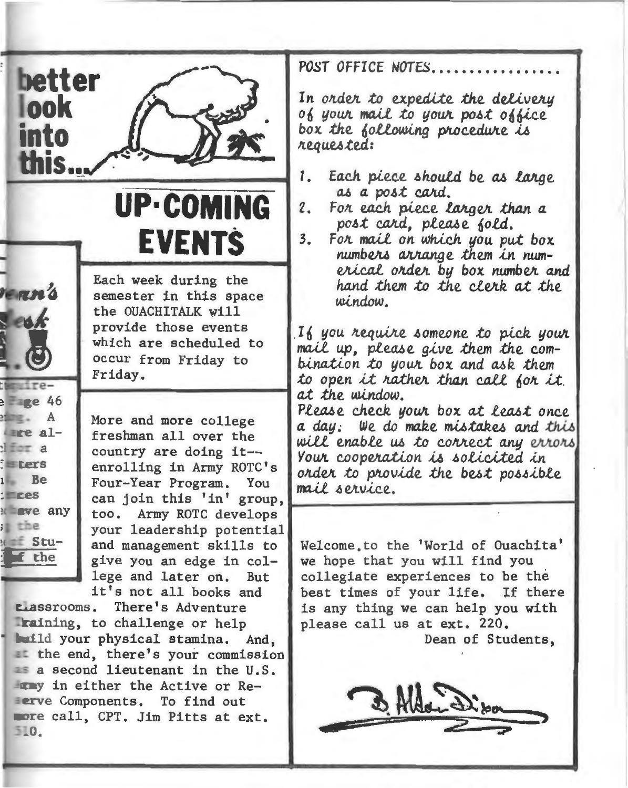

# **UP-COMI EVENTS**

Each week during the

the OUACHITALK will provide those events

semester in this space

which are scheduled to

**TERRY**  $= 46$  $\geq$   $A$  $here$  al- $\frac{1}{2}$   $\frac{1}{2}$   $\frac{1}{2}$   $\frac{1}{2}$   $\frac{1}{2}$   $\frac{1}{2}$ **Exers** 

**Be** 

**Eve** any

 $x = Stu -$ 

f the

ıL.

 $T<sub>res</sub>$ 

 $i$  the

occur from Friday to Friday. More and more college freshman all over the country are doing it-enrolling in Army ROTC's Four-Year Program. You can join this 'in' group, too. Army ROTC develops your leadership potential and management skills to

give you an edge in college and later on. But it's not all books and

There's Adventure Llassrooms. Training, to challenge or help build your physical stamina. And, at the end, there's your commission as a second lieutenant in the U.S. I was in either the Active or Re-**Eerve Components. To find out** more call, CPT. Jim Pitts at ext. 510.

POST OFFICE NOTES...........

In order to expedite the delivery of your mail to your post office box the following procedure is requested:

- $1.$ Each piece should be as large as a post card.
- $2.$ For each piece larger than a post card, please fold.
- $3.$ For mail on which you put box numbers arrange them in numerical order by box number and hand them to the clerk at the window.

If you require someone to pick your mail up, please give them the combination to your box and ask them to open it rather than call for it. at the window.

Please check your box at least once a day: We do make mistakes and this will enable us to correct any errors Your cooperation is solicited in order to provide the best possible mail service.

Welcome to the 'World of Ouachita' we hope that you will find you collegiate experiences to be the best times of your life. If there is any thing we can help you with please call us at ext. 220. Dean of Students.